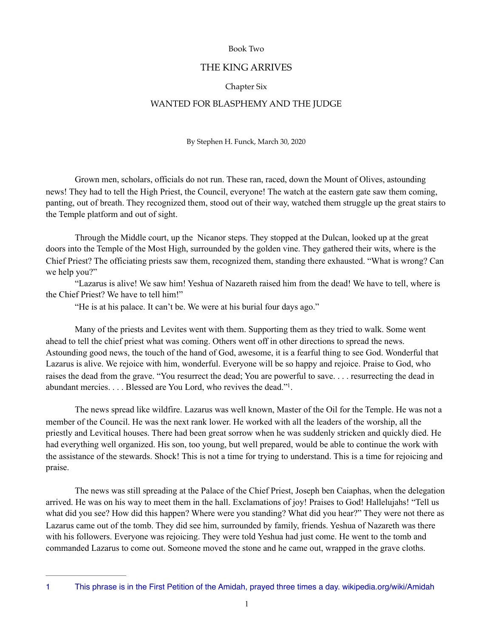### Book Two

## THE KING ARRIVES

#### Chapter Six

## WANTED FOR BLASPHEMY AND THE JUDGE

By Stephen H. Funck, March 30, 2020

 Grown men, scholars, officials do not run. These ran, raced, down the Mount of Olives, astounding news! They had to tell the High Priest, the Council, everyone! The watch at the eastern gate saw them coming, panting, out of breath. They recognized them, stood out of their way, watched them struggle up the great stairs to the Temple platform and out of sight.

 Through the Middle court, up the Nicanor steps. They stopped at the Dulcan, looked up at the great doors into the Temple of the Most High, surrounded by the golden vine. They gathered their wits, where is the Chief Priest? The officiating priests saw them, recognized them, standing there exhausted. "What is wrong? Can we help you?"

 "Lazarus is alive! We saw him! Yeshua of Nazareth raised him from the dead! We have to tell, where is the Chief Priest? We have to tell him!"

<span id="page-0-1"></span>"He is at his palace. It can't be. We were at his burial four days ago."

 Many of the priests and Levites went with them. Supporting them as they tried to walk. Some went ahead to tell the chief priest what was coming. Others went off in other directions to spread the news. Astounding good news, the touch of the hand of God, awesome, it is a fearful thing to see God. Wonderful that Lazarus is alive. We rejoice with him, wonderful. Everyone will be so happy and rejoice. Praise to God, who raises the dead from the grave. "You resurrect the dead; You are powerful to save. . . . resurrecting the dead in abundant mercies[.](#page-0-0) . . . Blessed are You Lord, who revives the dead."<sup>[1](#page-0-0)</sup>.

 The news spread like wildfire. Lazarus was well known, Master of the Oil for the Temple. He was not a member of the Council. He was the next rank lower. He worked with all the leaders of the worship, all the priestly and Levitical houses. There had been great sorrow when he was suddenly stricken and quickly died. He had everything well organized. His son, too young, but well prepared, would be able to continue the work with the assistance of the stewards. Shock! This is not a time for trying to understand. This is a time for rejoicing and praise.

 The news was still spreading at the Palace of the Chief Priest, Joseph ben Caiaphas, when the delegation arrived. He was on his way to meet them in the hall. Exclamations of joy! Praises to God! Hallelujahs! "Tell us what did you see? How did this happen? Where were you standing? What did you hear?" They were not there as Lazarus came out of the tomb. They did see him, surrounded by family, friends. Yeshua of Nazareth was there with his followers. Everyone was rejoicing. They were told Yeshua had just come. He went to the tomb and commanded Lazarus to come out. Someone moved the stone and he came out, wrapped in the grave cloths.

<span id="page-0-0"></span>[<sup>1</sup>](#page-0-1) This phrase is in the First Petition of the Amidah, prayed three times a day. wikipedia.org/wiki/Amidah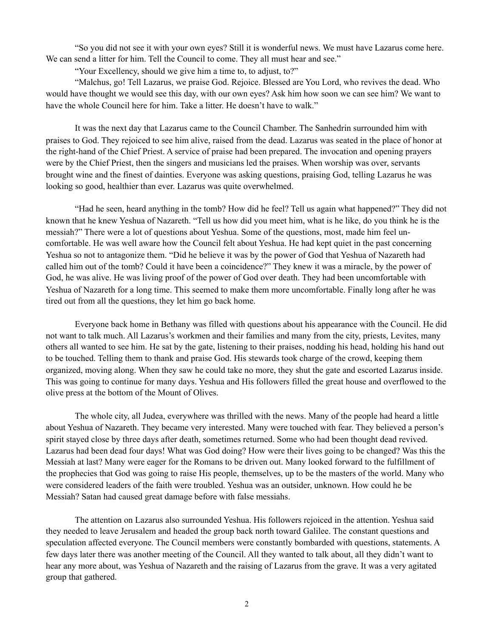"So you did not see it with your own eyes? Still it is wonderful news. We must have Lazarus come here. We can send a litter for him. Tell the Council to come. They all must hear and see."

"Your Excellency, should we give him a time to, to adjust, to?"

 "Malchus, go! Tell Lazarus, we praise God. Rejoice. Blessed are You Lord, who revives the dead. Who would have thought we would see this day, with our own eyes? Ask him how soon we can see him? We want to have the whole Council here for him. Take a litter. He doesn't have to walk."

 It was the next day that Lazarus came to the Council Chamber. The Sanhedrin surrounded him with praises to God. They rejoiced to see him alive, raised from the dead. Lazarus was seated in the place of honor at the right-hand of the Chief Priest. A service of praise had been prepared. The invocation and opening prayers were by the Chief Priest, then the singers and musicians led the praises. When worship was over, servants brought wine and the finest of dainties. Everyone was asking questions, praising God, telling Lazarus he was looking so good, healthier than ever. Lazarus was quite overwhelmed.

 "Had he seen, heard anything in the tomb? How did he feel? Tell us again what happened?" They did not known that he knew Yeshua of Nazareth. "Tell us how did you meet him, what is he like, do you think he is the messiah?" There were a lot of questions about Yeshua. Some of the questions, most, made him feel uncomfortable. He was well aware how the Council felt about Yeshua. He had kept quiet in the past concerning Yeshua so not to antagonize them. "Did he believe it was by the power of God that Yeshua of Nazareth had called him out of the tomb? Could it have been a coincidence?" They knew it was a miracle, by the power of God, he was alive. He was living proof of the power of God over death. They had been uncomfortable with Yeshua of Nazareth for a long time. This seemed to make them more uncomfortable. Finally long after he was tired out from all the questions, they let him go back home.

 Everyone back home in Bethany was filled with questions about his appearance with the Council. He did not want to talk much. All Lazarus's workmen and their families and many from the city, priests, Levites, many others all wanted to see him. He sat by the gate, listening to their praises, nodding his head, holding his hand out to be touched. Telling them to thank and praise God. His stewards took charge of the crowd, keeping them organized, moving along. When they saw he could take no more, they shut the gate and escorted Lazarus inside. This was going to continue for many days. Yeshua and His followers filled the great house and overflowed to the olive press at the bottom of the Mount of Olives.

 The whole city, all Judea, everywhere was thrilled with the news. Many of the people had heard a little about Yeshua of Nazareth. They became very interested. Many were touched with fear. They believed a person's spirit stayed close by three days after death, sometimes returned. Some who had been thought dead revived. Lazarus had been dead four days! What was God doing? How were their lives going to be changed? Was this the Messiah at last? Many were eager for the Romans to be driven out. Many looked forward to the fulfillment of the prophecies that God was going to raise His people, themselves, up to be the masters of the world. Many who were considered leaders of the faith were troubled. Yeshua was an outsider, unknown. How could he be Messiah? Satan had caused great damage before with false messiahs.

 The attention on Lazarus also surrounded Yeshua. His followers rejoiced in the attention. Yeshua said they needed to leave Jerusalem and headed the group back north toward Galilee. The constant questions and speculation affected everyone. The Council members were constantly bombarded with questions, statements. A few days later there was another meeting of the Council. All they wanted to talk about, all they didn't want to hear any more about, was Yeshua of Nazareth and the raising of Lazarus from the grave. It was a very agitated group that gathered.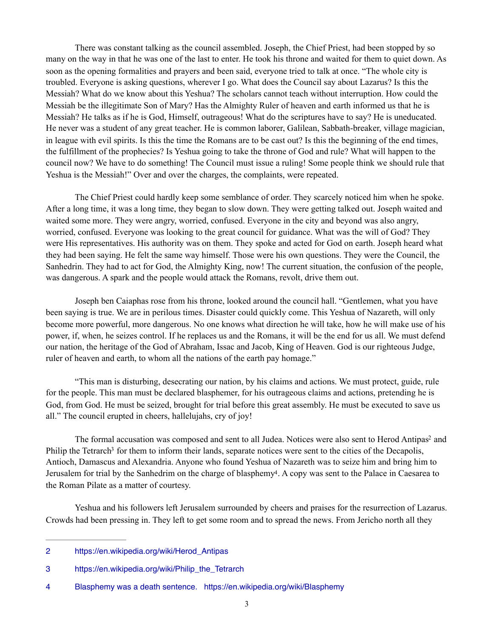There was constant talking as the council assembled. Joseph, the Chief Priest, had been stopped by so many on the way in that he was one of the last to enter. He took his throne and waited for them to quiet down. As soon as the opening formalities and prayers and been said, everyone tried to talk at once. "The whole city is troubled. Everyone is asking questions, wherever I go. What does the Council say about Lazarus? Is this the Messiah? What do we know about this Yeshua? The scholars cannot teach without interruption. How could the Messiah be the illegitimate Son of Mary? Has the Almighty Ruler of heaven and earth informed us that he is Messiah? He talks as if he is God, Himself, outrageous! What do the scriptures have to say? He is uneducated. He never was a student of any great teacher. He is common laborer, Galilean, Sabbath-breaker, village magician, in league with evil spirits. Is this the time the Romans are to be cast out? Is this the beginning of the end times, the fulfillment of the prophecies? Is Yeshua going to take the throne of God and rule? What will happen to the council now? We have to do something! The Council must issue a ruling! Some people think we should rule that Yeshua is the Messiah!" Over and over the charges, the complaints, were repeated.

 The Chief Priest could hardly keep some semblance of order. They scarcely noticed him when he spoke. After a long time, it was a long time, they began to slow down. They were getting talked out. Joseph waited and waited some more. They were angry, worried, confused. Everyone in the city and beyond was also angry, worried, confused. Everyone was looking to the great council for guidance. What was the will of God? They were His representatives. His authority was on them. They spoke and acted for God on earth. Joseph heard what they had been saying. He felt the same way himself. Those were his own questions. They were the Council, the Sanhedrin. They had to act for God, the Almighty King, now! The current situation, the confusion of the people, was dangerous. A spark and the people would attack the Romans, revolt, drive them out.

 Joseph ben Caiaphas rose from his throne, looked around the council hall. "Gentlemen, what you have been saying is true. We are in perilous times. Disaster could quickly come. This Yeshua of Nazareth, will only become more powerful, more dangerous. No one knows what direction he will take, how he will make use of his power, if, when, he seizes control. If he replaces us and the Romans, it will be the end for us all. We must defend our nation, the heritage of the God of Abraham, Issac and Jacob, King of Heaven. God is our righteous Judge, ruler of heaven and earth, to whom all the nations of the earth pay homage."

 "This man is disturbing, desecrating our nation, by his claims and actions. We must protect, guide, rule for the people. This man must be declared blasphemer, for his outrageous claims and actions, pretending he is God, from God. He must be seized, brought for trial before this great assembly. He must be executed to save us all." The council erupted in cheers, hallelujahs, cry of joy!

<span id="page-2-5"></span><span id="page-2-4"></span><span id="page-2-3"></span>The formal accu[s](#page-2-0)ation was composed and sent to all Judea. Notices were also sent to Herod Antipas<sup>[2](#page-2-0)</sup> and P[h](#page-2-1)ilip the Tetrarch<sup>[3](#page-2-1)</sup> for them to inform their lands, separate notices were sent to the cities of the Decapolis, Antioch, Damascus and Alexandria. Anyone who found Yeshua of Nazareth was to seize him and bring him to Jerusalem for trial by the Sanhedrim on the charge of blasphemy<sup>[4](#page-2-2)</sup>. A copy was sent to the Palace in Caesarea to the Roman Pilate as a matter of courtesy.

 Yeshua and his followers left Jerusalem surrounded by cheers and praises for the resurrection of Lazarus. Crowds had been pressing in. They left to get some room and to spread the news. From Jericho north all they

<span id="page-2-0"></span>[<sup>2</sup>](#page-2-3) [https://en.wikipedia.org/wiki/Herod\\_Antipas](https://en.wikipedia.org/wiki/Herod_Antipas)

<span id="page-2-1"></span>[<sup>3</sup>](#page-2-4) [https://en.wikipedia.org/wiki/Philip\\_the\\_Tetrarch](https://en.wikipedia.org/wiki/Philip_the_Tetrarch)

<span id="page-2-2"></span>[<sup>4</sup>](#page-2-5) Blasphemy was a death sentence. <https://en.wikipedia.org/wiki/Blasphemy>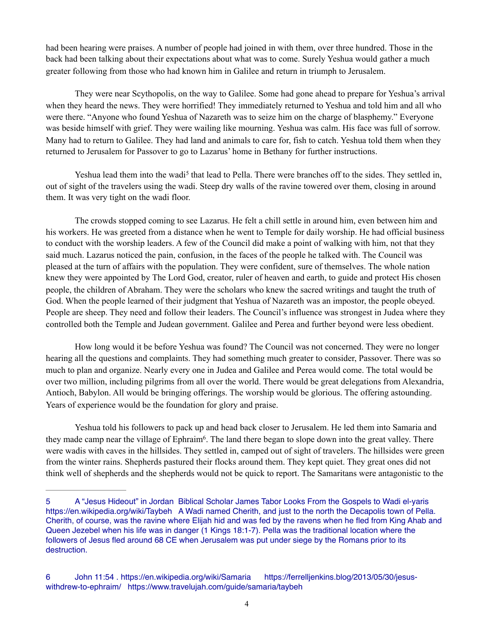had been hearing were praises. A number of people had joined in with them, over three hundred. Those in the back had been talking about their expectations about what was to come. Surely Yeshua would gather a much greater following from those who had known him in Galilee and return in triumph to Jerusalem.

 They were near Scythopolis, on the way to Galilee. Some had gone ahead to prepare for Yeshua's arrival when they heard the news. They were horrified! They immediately returned to Yeshua and told him and all who were there. "Anyone who found Yeshua of Nazareth was to seize him on the charge of blasphemy." Everyone was beside himself with grief. They were wailing like mourning. Yeshua was calm. His face was full of sorrow. Many had to return to Galilee. They had land and animals to care for, fish to catch. Yeshua told them when they returned to Jerusalem for Passover to go to Lazarus' home in Bethany for further instructions.

<span id="page-3-2"></span>Yeshua lead them into the wadi<sup>[5](#page-3-0)</sup> that lead to Pella. There were branches off to the sides. They settled in, out of sight of the travelers using the wadi. Steep dry walls of the ravine towered over them, closing in around them. It was very tight on the wadi floor.

 The crowds stopped coming to see Lazarus. He felt a chill settle in around him, even between him and his workers. He was greeted from a distance when he went to Temple for daily worship. He had official business to conduct with the worship leaders. A few of the Council did make a point of walking with him, not that they said much. Lazarus noticed the pain, confusion, in the faces of the people he talked with. The Council was pleased at the turn of affairs with the population. They were confident, sure of themselves. The whole nation knew they were appointed by The Lord God, creator, ruler of heaven and earth, to guide and protect His chosen people, the children of Abraham. They were the scholars who knew the sacred writings and taught the truth of God. When the people learned of their judgment that Yeshua of Nazareth was an impostor, the people obeyed. People are sheep. They need and follow their leaders. The Council's influence was strongest in Judea where they controlled both the Temple and Judean government. Galilee and Perea and further beyond were less obedient.

 How long would it be before Yeshua was found? The Council was not concerned. They were no longer hearing all the questions and complaints. They had something much greater to consider, Passover. There was so much to plan and organize. Nearly every one in Judea and Galilee and Perea would come. The total would be over two million, including pilgrims from all over the world. There would be great delegations from Alexandria, Antioch, Babylon. All would be bringing offerings. The worship would be glorious. The offering astounding. Years of experience would be the foundation for glory and praise.

<span id="page-3-3"></span> Yeshua told his followers to pack up and head back closer to Jerusalem. He led them into Samaria and they made camp near the village of Ephraim<sup>6</sup>[.](#page-3-1) The land there began to slope down into the great valley. There were wadis with caves in the hillsides. They settled in, camped out of sight of travelers. The hillsides were green from the winter rains. Shepherds pastured their flocks around them. They kept quiet. They great ones did not think well of shepherds and the shepherds would not be quick to report. The Samaritans were antagonistic to the

<span id="page-3-0"></span>[<sup>5</sup>](#page-3-2) A "Jesus Hideout" in Jordan Biblical Scholar James Tabor Looks From the Gospels to Wadi el-yaris <https://en.wikipedia.org/wiki/Taybeh> A Wadi named Cherith, and just to the north the Decapolis town of Pella. Cherith, of course, was the ravine where Elijah hid and was fed by the ravens when he fled from King Ahab and Queen Jezebel when his life was in danger (1 Kings 18:1-7). Pella was the traditional location where the followers of Jesus fled around 68 CE when Jerusalem was put under siege by the Romans prior to its destruction.

<span id="page-3-1"></span>[<sup>6</sup>](#page-3-3) John 11:54 .<https://en.wikipedia.org/wiki/Samaria>[https://ferrelljenkins.blog/2013/05/30/jesus](https://ferrelljenkins.blog/2013/05/30/jesus-withdrew-to-ephraim/)[withdrew-to-ephraim/](https://ferrelljenkins.blog/2013/05/30/jesus-withdrew-to-ephraim/) <https://www.travelujah.com/guide/samaria/taybeh>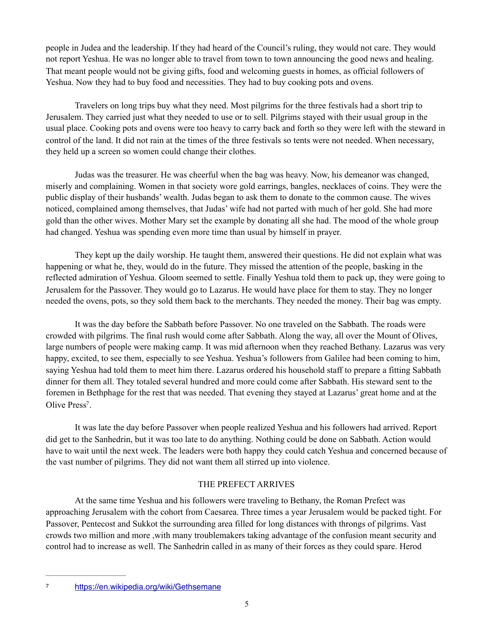people in Judea and the leadership. If they had heard of the Council's ruling, they would not care. They would not report Yeshua. He was no longer able to travel from town to town announcing the good news and healing. That meant people would not be giving gifts, food and welcoming guests in homes, as official followers of Yeshua. Now they had to buy food and necessities. They had to buy cooking pots and ovens.

 Travelers on long trips buy what they need. Most pilgrims for the three festivals had a short trip to Jerusalem. They carried just what they needed to use or to sell. Pilgrims stayed with their usual group in the usual place. Cooking pots and ovens were too heavy to carry back and forth so they were left with the steward in control of the land. It did not rain at the times of the three festivals so tents were not needed. When necessary, they held up a screen so women could change their clothes.

 Judas was the treasurer. He was cheerful when the bag was heavy. Now, his demeanor was changed, miserly and complaining. Women in that society wore gold earrings, bangles, necklaces of coins. They were the public display of their husbands' wealth. Judas began to ask them to donate to the common cause. The wives noticed, complained among themselves, that Judas' wife had not parted with much of her gold. She had more gold than the other wives. Mother Mary set the example by donating all she had. The mood of the whole group had changed. Yeshua was spending even more time than usual by himself in prayer.

 They kept up the daily worship. He taught them, answered their questions. He did not explain what was happening or what he, they, would do in the future. They missed the attention of the people, basking in the reflected admiration of Yeshua. Gloom seemed to settle. Finally Yeshua told them to pack up, they were going to Jerusalem for the Passover. They would go to Lazarus. He would have place for them to stay. They no longer needed the ovens, pots, so they sold them back to the merchants. They needed the money. Their bag was empty.

 It was the day before the Sabbath before Passover. No one traveled on the Sabbath. The roads were crowded with pilgrims. The final rush would come after Sabbath. Along the way, all over the Mount of Olives, large numbers of people were making camp. It was mid afternoon when they reached Bethany. Lazarus was very happy, excited, to see them, especially to see Yeshua. Yeshua's followers from Galilee had been coming to him, saying Yeshua had told them to meet him there. Lazarus ordered his household staff to prepare a fitting Sabbath dinner for them all. They totaled several hundred and more could come after Sabbath. His steward sent to the foremen in Bethphage for the rest that was needed. That evening they stayed at Lazarus' great home and at the Olive Press<sup>[7](#page-4-0)</sup>

<span id="page-4-1"></span> It was late the day before Passover when people realized Yeshua and his followers had arrived. Report did get to the Sanhedrin, but it was too late to do anything. Nothing could be done on Sabbath. Action would have to wait until the next week. The leaders were both happy they could catch Yeshua and concerned because of the vast number of pilgrims. They did not want them all stirred up into violence.

# THE PREFECT ARRIVES

 At the same time Yeshua and his followers were traveling to Bethany, the Roman Prefect was approaching Jerusalem with the cohort from Caesarea. Three times a year Jerusalem would be packed tight. For Passover, Pentecost and Sukkot the surrounding area filled for long distances with throngs of pilgrims. Vast crowds two million and more ,with many troublemakers taking advantage of the confusion meant security and control had to increase as well. The Sanhedrin called in as many of their forces as they could spare. Herod

<span id="page-4-0"></span>

<https://en.wikipedia.org/wiki/Gethsemane> [7](#page-4-1)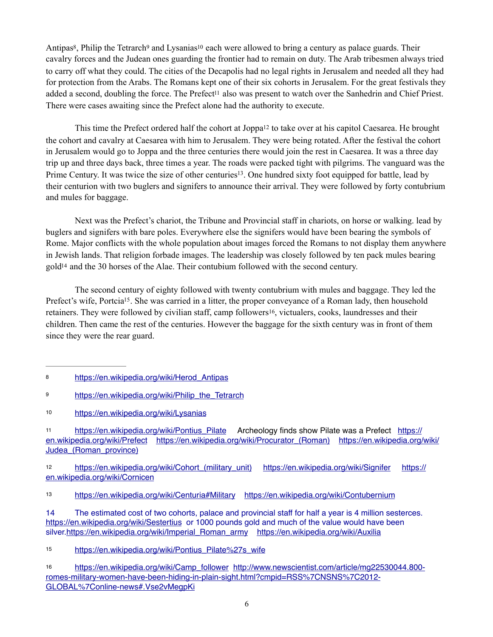<span id="page-5-11"></span><span id="page-5-10"></span><span id="page-5-9"></span>Antipas<sup>8</sup>[,](#page-5-0) Philip the Tetrarch<[s](#page-5-2)up>9</sup> and Lysanias<sup>10</sup> each were allowed to bring a century as palace guards. Their cavalry forces and the Judean ones guarding the frontier had to remain on duty. The Arab tribesmen always tried to carry off what they could. The cities of the Decapolis had no legal rights in Jerusalem and needed all they had for protection from the Arabs. The Romans kept one of their six cohorts in Jerusalem. For the great festivals they added a second, doubling [t](#page-5-3)he force. The Prefect<sup>[11](#page-5-3)</sup> also was present to watch over the Sanhedrin and Chief Priest. There were cases awaiting since the Prefect alone had the authority to execute.

<span id="page-5-14"></span><span id="page-5-13"></span><span id="page-5-12"></span>This time the Prefect ordered h[a](#page-5-4)lf the cohort at Joppa<sup>[12](#page-5-4)</sup> to take over at his capitol Caesarea. He brought the cohort and cavalry at Caesarea with him to Jerusalem. They were being rotated. After the festival the cohort in Jerusalem would go to Joppa and the three centuries there would join the rest in Caesarea. It was a three day trip up and three days back, three times a year. The roads were packed tight with pilgrims. The vanguard was the Prime Century. It was twice the size of other centuries<sup>[13](#page-5-5)</sup>. One hundred sixty foot equipped for battle, lead by their centurion with two buglers and signifers to announce their arrival. They were followed by forty contubrium and mules for baggage.

 Next was the Prefect's chariot, the Tribune and Provincial staff in chariots, on horse or walking. lead by buglers and signifers with bare poles. Everywhere else the signifers would have been bearing the symbols of Rome. Major conflicts with the whole population about images forced the Romans to not display them anywhere in Jewish lands. That religion forbade images. The leadership was closely followed by ten pack mules bearing  $gold<sup>14</sup>$  $gold<sup>14</sup>$  $gold<sup>14</sup>$  an[d](#page-5-6) the 30 horses of the Alae. Their contubium followed with the second century.

<span id="page-5-17"></span><span id="page-5-16"></span><span id="page-5-15"></span> The second century of eighty followed with twenty contubrium with mules and baggage. They led the Prefect's wife, Portcia<sup>[15](#page-5-7)</sup>. She was carried in a litter, the proper conveyance of a Roman lady, then household retainers. They were followed by civilian staff, camp followers<sup>[16](#page-5-8)</sup>, victualers, cooks, laundresses and their children. Then came the rest of the centuries. However the baggage for the sixth century was in front of them since they were the rear guard.

<span id="page-5-3"></span>[https://en.wikipedia.org/wiki/Pontius\\_Pilate](https://en.wikipedia.org/wiki/Pontius_Pilate) Archeology finds show Pilate was a Prefect [https://](https://en.wikipedia.org/wiki/Prefect) [11](#page-5-12) [en.wikipedia.org/wiki/Prefect](https://en.wikipedia.org/wiki/Prefect) [https://en.wikipedia.org/wiki/](https://en.wikipedia.org/wiki/Judea_(Roman_province))Procurator (Roman) https://en.wikipedia.org/wiki/ Judea (Roman province)

<span id="page-5-4"></span>https://en.wikipedia.org/wiki/Cohort (military\_unit) <https://en.wikipedia.org/wiki/Signifer> [https://](https://en.wikipedia.org/wiki/Cornicen) [en.wikipedia.org/wiki/Cornicen](https://en.wikipedia.org/wiki/Cornicen)

<span id="page-5-5"></span><https://en.wikipedia.org/wiki/Centuria#Military> <https://en.wikipedia.org/wiki/Contubernium>[13](#page-5-14)

<span id="page-5-6"></span>[14](#page-5-15) The estimated cost of two cohorts, palace and provincial staff for half a year is 4 million sesterces. <https://en.wikipedia.org/wiki/Sestertius>or 1000 pounds gold and much of the value would have been silver[.https://en.wikipedia.org/wiki/Imperial\\_Roman\\_army](https://en.wikipedia.org/wiki/Imperial_Roman_army) <https://en.wikipedia.org/wiki/Auxilia>

<span id="page-5-7"></span>[15](#page-5-16) https://en.wikipedia.org/wiki/Pontius\_Pilate%27s\_wife

<span id="page-5-8"></span>[https://en.wikipedia.org/wiki/Camp\\_follower](https://en.wikipedia.org/wiki/Camp_follower) [http://www.newscientist.com/article/mg22530044.800-](http://www.newscientist.com/article/mg22530044.800-romes-military-women-have-been-hiding-in-plain-sight.html?cmpid=RSS%7CNSNS%7C2012-GLOBAL%7Conline-news#.Vse2vMegpKi) [16](#page-5-17) [romes-military-women-have-been-hiding-in-plain-sight.html?cmpid=RSS%7CNSNS%7C2012-](http://www.newscientist.com/article/mg22530044.800-romes-military-women-have-been-hiding-in-plain-sight.html?cmpid=RSS%7CNSNS%7C2012-GLOBAL%7Conline-news#.Vse2vMegpKi) [GLOBAL%7Conline-news#.Vse2vMegpKi](http://www.newscientist.com/article/mg22530044.800-romes-military-women-have-been-hiding-in-plain-sight.html?cmpid=RSS%7CNSNS%7C2012-GLOBAL%7Conline-news#.Vse2vMegpKi)

<span id="page-5-0"></span>[<sup>8</sup>](#page-5-9) https://en.wikipedia.org/wiki/Herod Antipas

<span id="page-5-1"></span>[<sup>9</sup>](#page-5-10) https://en.wikipedia.org/wiki/Philip the Tetrarch

<span id="page-5-2"></span><https://en.wikipedia.org/wiki/Lysanias> [10](#page-5-11)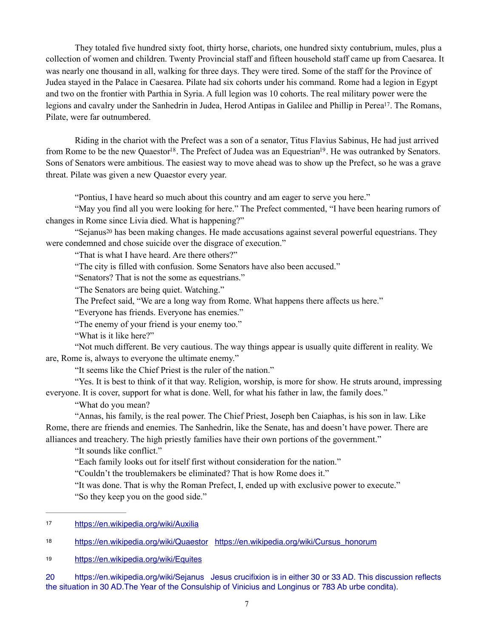They totaled five hundred sixty foot, thirty horse, chariots, one hundred sixty contubrium, mules, plus a collection of women and children. Twenty Provincial staff and fifteen household staff came up from Caesarea. It was nearly one thousand in all, walking for three days. They were tired. Some of the staff for the Province of Judea stayed in the Palace in Caesarea. Pilate had six cohorts under his command. Rome had a legion in Egypt and two on the frontier with Parthia in Syria. A full legion was 10 cohorts. The real military power were the legions and cavalry under the Sanhedrin in Judea, Herod Antipas in Galilee and Phillip in Perea<sup>[17](#page-6-0)</sup>. The Romans, Pilate, were far outnumbered.

 Riding in the chariot with the Prefect was a son of a senator, Titus Flavius Sabinus, He had just arrived from Rome to be the new Quaestor<sup>[18](#page-6-1)</sup>. The Prefect of Judea was an Equestrian<sup>19</sup>. He was outranked by Senators. Sons of Senators were ambitious. The easiest way to move ahead was to show up the Prefect, so he was a grave threat. Pilate was given a new Quaestor every year.

<span id="page-6-6"></span><span id="page-6-5"></span><span id="page-6-4"></span>"Pontius, I have heard so much about this country and am eager to serve you here."

 "May you find all you were looking for here." The Prefect commented, "I have been hearing rumors of changes in Rome since Livia died. What is happening?"

"Sejanu[s](#page-6-3)<sup>[20](#page-6-3)</sup> has been making changes. He made accusations against several powerful equestrians. They were condemned and chose suicide over the disgrace of execution."

<span id="page-6-7"></span>"That is what I have heard. Are there others?"

"The city is filled with confusion. Some Senators have also been accused."

"Senators? That is not the some as equestrians."

"The Senators are being quiet. Watching."

The Prefect said, "We are a long way from Rome. What happens there affects us here."

"Everyone has friends. Everyone has enemies."

"The enemy of your friend is your enemy too."

"What is it like here?"

 "Not much different. Be very cautious. The way things appear is usually quite different in reality. We are, Rome is, always to everyone the ultimate enemy."

"It seems like the Chief Priest is the ruler of the nation."

 "Yes. It is best to think of it that way. Religion, worship, is more for show. He struts around, impressing everyone. It is cover, support for what is done. Well, for what his father in law, the family does."

"What do you mean?

 "Annas, his family, is the real power. The Chief Priest, Joseph ben Caiaphas, is his son in law. Like Rome, there are friends and enemies. The Sanhedrin, like the Senate, has and doesn't have power. There are alliances and treachery. The high priestly families have their own portions of the government."

"It sounds like conflict."

"Each family looks out for itself first without consideration for the nation."

"Couldn't the troublemakers be eliminated? That is how Rome does it."

 "It was done. That is why the Roman Prefect, I, ended up with exclusive power to execute." "So they keep you on the good side."

<span id="page-6-3"></span>[20](#page-6-7) <https://en.wikipedia.org/wiki/Sejanus> Jesus crucifixion is in either 30 or 33 AD. This discussion reflects the situation in 30 AD.The Year of the [Consulship](https://en.wikipedia.org/wiki/Consulship) of [Vinicius](https://en.wikipedia.org/wiki/Vinicius) and [Longinus](https://en.wikipedia.org/wiki/Gaius_Cassius_Longinus_(consul_AD_30)) or 783 [Ab urbe condita](https://en.wikipedia.org/wiki/Ab_urbe_condita)).

<span id="page-6-0"></span><https://en.wikipedia.org/wiki/Auxilia>[17](#page-6-4)

<span id="page-6-1"></span><sup>18</sup> <https://en.wikipedia.org/wiki/Quaestor> https://en.wikipedia.org/wiki/Cursus honorum

<span id="page-6-2"></span><https://en.wikipedia.org/wiki/Equites>[19](#page-6-6)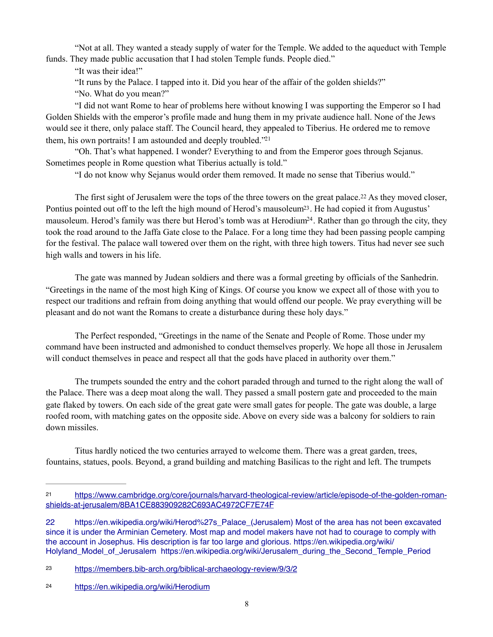"Not at all. They wanted a steady supply of water for the Temple. We added to the aqueduct with Temple funds. They made public accusation that I had stolen Temple funds. People died."

"It was their idea!"

"It runs by the Palace. I tapped into it. Did you hear of the affair of the golden shields?"

"No. What do you mean?"

 "I did not want Rome to hear of problems here without knowing I was supporting the Emperor so I had Golden Shields with the emperor's profile made and hung them in my private audience hall. None of the Jews would see it there, only palace staff. The Council heard, they appealed to Tiberius. He ordered me to remove them, his own portraits! I am astounded and deeply troubled. $2<sup>21</sup>$  $2<sup>21</sup>$  $2<sup>21</sup>$ 

 "Oh. That's what happened. I wonder? Everything to and from the Emperor goes through Sejanus. Sometimes people in Rome question what Tiberius actually is told."

<span id="page-7-7"></span><span id="page-7-6"></span><span id="page-7-5"></span><span id="page-7-4"></span>"I do not know why Sejanus would order them removed. It made no sense that Tiberius would."

The first sight of Jerusalem were the tops of the three towers on the great palace.<sup>[22](#page-7-1)</sup> As they moved closer, Pontius pointed out off to the left the high mound of Herod's mausoleum<sup>23</sup>[.](#page-7-2) He had copied it from Augustus' mausoleum. Herod's family was there but Herod's tomb was at Herodium<sup>[24](#page-7-3)</sup>. Rather than go through the city, they took the road around to the Jaffa Gate close to the Palace. For a long time they had been passing people camping for the festival. The palace wall towered over them on the right, with three high towers. Titus had never see such high walls and towers in his life.

 The gate was manned by Judean soldiers and there was a formal greeting by officials of the Sanhedrin. "Greetings in the name of the most high King of Kings. Of course you know we expect all of those with you to respect our traditions and refrain from doing anything that would offend our people. We pray everything will be pleasant and do not want the Romans to create a disturbance during these holy days."

 The Perfect responded, "Greetings in the name of the Senate and People of Rome. Those under my command have been instructed and admonished to conduct themselves properly. We hope all those in Jerusalem will conduct themselves in peace and respect all that the gods have placed in authority over them."

 The trumpets sounded the entry and the cohort paraded through and turned to the right along the wall of the Palace. There was a deep moat along the wall. They passed a small postern gate and proceeded to the main gate flaked by towers. On each side of the great gate were small gates for people. The gate was double, a large roofed room, with matching gates on the opposite side. Above on every side was a balcony for soldiers to rain down missiles.

 Titus hardly noticed the two centuries arrayed to welcome them. There was a great garden, trees, fountains, statues, pools. Beyond, a grand building and matching Basilicas to the right and left. The trumpets

<span id="page-7-0"></span>[https://www.cambridge.org/core/journals/harvard-theological-review/article/episode-of-the-golden-roman-](https://www.cambridge.org/core/journals/harvard-theological-review/article/episode-of-the-golden-roman-shields-at-jerusalem/8BA1CE883909282C693AC4972CF7E74F) [21](#page-7-4) [shields-at-jerusalem/8BA1CE883909282C693AC4972CF7E74F](https://www.cambridge.org/core/journals/harvard-theological-review/article/episode-of-the-golden-roman-shields-at-jerusalem/8BA1CE883909282C693AC4972CF7E74F)

<span id="page-7-1"></span>[<sup>22</sup>](#page-7-5) [https://en.wikipedia.org/wiki/Herod%27s\\_Palace\\_\(Jerusalem\)](https://en.wikipedia.org/wiki/Herod%27s_Palace_(Jerusalem)) Most of the area has not been excavated since it is under the Arminian Cemetery. Most map and model makers have not had to courage to comply with the account in Josephus. His description is far too large and glorious. [https://en.wikipedia.org/wiki/](https://en.wikipedia.org/wiki/Holyland_Model_of_Jerusalem) [Holyland\\_Model\\_of\\_Jerusalem](https://en.wikipedia.org/wiki/Holyland_Model_of_Jerusalem) [https://en.wikipedia.org/wiki/Jerusalem\\_during\\_the\\_Second\\_Temple\\_Period](https://en.wikipedia.org/wiki/Jerusalem_during_the_Second_Temple_Period)

<span id="page-7-2"></span><https://members.bib-arch.org/biblical-archaeology-review/9/3/2> [23](#page-7-6)

<span id="page-7-3"></span><https://en.wikipedia.org/wiki/Herodium>[24](#page-7-7)